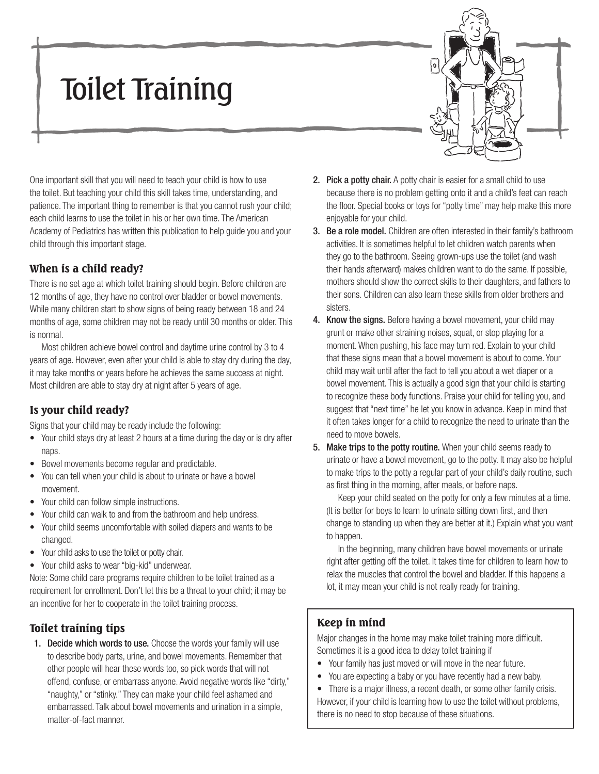# Toilet Training



One important skill that you will need to teach your child is how to use the toilet. But teaching your child this skill takes time, understanding, and patience. The important thing to remember is that you cannot rush your child; each child learns to use the toilet in his or her own time. The American Academy of Pediatrics has written this publication to help guide you and your child through this important stage.

## When is a child ready?

There is no set age at which toilet training should begin. Before children are 12 months of age, they have no control over bladder or bowel movements. While many children start to show signs of being ready between 18 and 24 months of age, some children may not be ready until 30 months or older. This is normal.

Most children achieve bowel control and daytime urine control by 3 to 4 years of age. However, even after your child is able to stay dry during the day, it may take months or years before he achieves the same success at night. Most children are able to stay dry at night after 5 years of age.

#### Is your child ready?

Signs that your child may be ready include the following:

- Your child stays dry at least 2 hours at a time during the day or is dry after naps.
- Bowel movements become regular and predictable.
- You can tell when your child is about to urinate or have a bowel movement.
- Your child can follow simple instructions.
- Your child can walk to and from the bathroom and help undress.
- Your child seems uncomfortable with soiled diapers and wants to be changed.
- Your child asks to use the toilet or potty chair.
- Your child asks to wear "big-kid" underwear.

Note: Some child care programs require children to be toilet trained as a requirement for enrollment. Don't let this be a threat to your child; it may be an incentive for her to cooperate in the toilet training process.

## Toilet training tips

1. Decide which words to use. Choose the words your family will use to describe body parts, urine, and bowel movements. Remember that other people will hear these words too, so pick words that will not offend, confuse, or embarrass anyone. Avoid negative words like "dirty," "naughty," or "stinky." They can make your child feel ashamed and embarrassed. Talk about bowel movements and urination in a simple, matter-of-fact manner.

- 2. Pick a potty chair. A potty chair is easier for a small child to use because there is no problem getting onto it and a child's feet can reach the floor. Special books or toys for "potty time" may help make this more enjoyable for your child.
- 3. Be a role model. Children are often interested in their family's bathroom activities. It is sometimes helpful to let children watch parents when they go to the bathroom. Seeing grown-ups use the toilet (and wash their hands afterward) makes children want to do the same. If possible, mothers should show the correct skills to their daughters, and fathers to their sons. Children can also learn these skills from older brothers and sisters.
- 4. Know the signs. Before having a bowel movement, your child may grunt or make other straining noises, squat, or stop playing for a moment. When pushing, his face may turn red. Explain to your child that these signs mean that a bowel movement is about to come. Your child may wait until after the fact to tell you about a wet diaper or a bowel movement. This is actually a good sign that your child is starting to recognize these body functions. Praise your child for telling you, and suggest that "next time" he let you know in advance. Keep in mind that it often takes longer for a child to recognize the need to urinate than the need to move bowels.
- 5. Make trips to the potty routine. When your child seems ready to urinate or have a bowel movement, go to the potty. It may also be helpful to make trips to the potty a regular part of your child's daily routine, such as first thing in the morning, after meals, or before naps.

Keep your child seated on the potty for only a few minutes at a time. (It is better for boys to learn to urinate sitting down first, and then change to standing up when they are better at it.) Explain what you want to happen.

In the beginning, many children have bowel movements or urinate right after getting off the toilet. It takes time for children to learn how to relax the muscles that control the bowel and bladder. If this happens a lot, it may mean your child is not really ready for training.

## Keep in mind

Major changes in the home may make toilet training more difficult. Sometimes it is a good idea to delay toilet training if

- Your family has just moved or will move in the near future.
- You are expecting a baby or you have recently had a new baby.

• There is a major illness, a recent death, or some other family crisis. However, if your child is learning how to use the toilet without problems, there is no need to stop because of these situations.